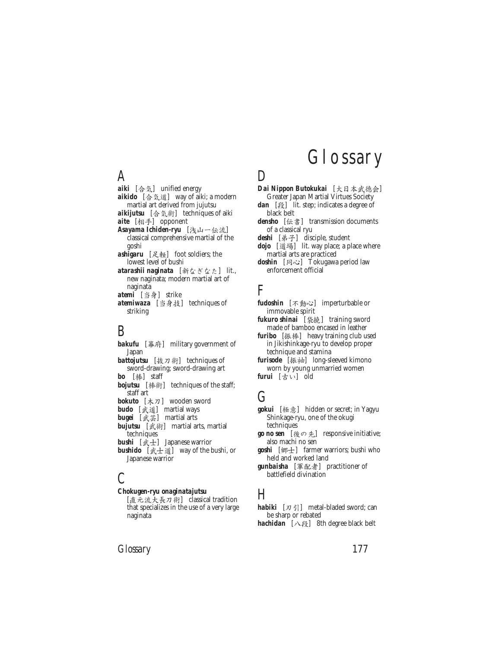#### A

- aiki [合気] unified energy aikido [合気道] way of aiki; a modern martial art derived from jujutsu aikijutsu [合気術] techniques of aiki aite [相手] opponent Asayama Ichiden-ryu [浅山一伝流]
- classical comprehensive martial of the goshi ashigaru [足軽] foot soldiers; the
- lowest level of bushi atarashii naginata [新なぎなた] lit.,
- new naginata; modern martial art of naginata
- atemi [当身] strike atemiwaza [当身技] techniques of striking

# B

*bakufu* [幕府] military government of Japan *battojutsu* [技刀術] techniques of sword-drawing; sword-drawing art *bo* [棒] staff *bojutsu* [棒術] techniques of the staff; staff art *bokuto* [木刀] wooden sword *budo* [武道] martial ways *bugei* [武芸] martial arts *bujutsu* [武術] martial arts, martial techniques *bushi* [武士] Japanese warrior **bushido** [武士道] way of the bushi, or Japanese warrior

# $\mathcal{C}_{0}^{(n)}$

#### *Chokugen-ryu onaginatajutsu*

[直元流大長刀術] classical tradition that specializes in the use of a very large naginata

# Glossary

# D

- *Dai Nippon Butokukai* [大日本武徳会] Greater Japan Martial Virtues Society
- *dan* [段] lit. step; indicates a degree of black belt
- *densho* [伝書] transmission documents of a classical ryu
- deshi [弟子] disciple, student
- *dojo* [道場] lit. way place; a place where martial arts are practiced doshin [同心] Tokugawa period law
- enforcement official

# $F$

- *fudoshin* [不動心] imperturbable or immovable spirit
- *fukuro shinai* [袋撓] training sword made of bamboo encased in leather
- *furibo* [振棒] heavy training club used in Jikishinkage-ryu to develop proper technique and stamina
- *furisode* [振袖] long-sleeved kimono worn by young unmarried women *furui* [?Î] old

# G

- *gokui* [極意] hidden or secret; in Yagyu Shinkage-ryu, one of the okugi techniques
- **go no sen** [後の先] responsive initiative; also machi no sen
- *goshi* [郷士] farmer warriors; bushi who held and worked land
- gunbaisha [軍配者] practitioner of battlefield divination

#### H

*habiki*  $[\nexists \vec{\theta}]$  metal-bladed sword; can be sharp or rebated *hachidan* [八段] 8th degree black belt

*Glossary* 177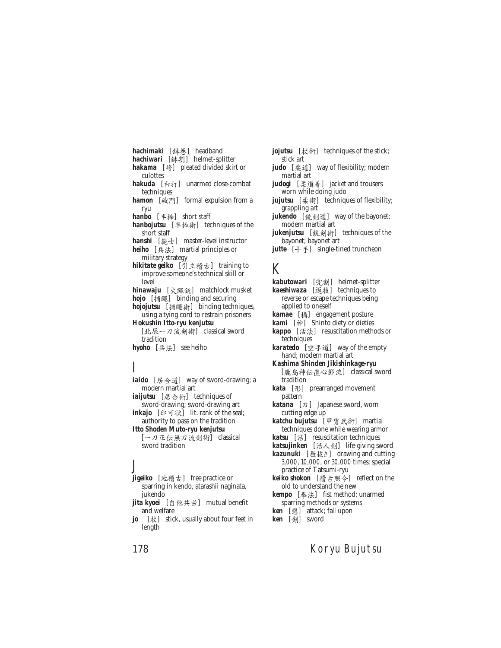hachimaki [鉢巻] headband *hachiwari* [鉢割] helmet-splitter **hakama** [袴] pleated divided skirt or culottes *hakuda* [台打] unarmed close-combat techniques *hamon* [破門] formal expulsion from a ryu *hanbo* [半棒] short staff hanbojutsu [半棒術] techniques of the short staff *hanshi* [範士] master-level instructor *heiho* [兵法] martial principles or military strategy hikitate geiko [引立稽古] training to improve someone's technical skill or level *hinawaju* [火繩銃] matchlock musket **hojo** [捕繩] binding and securing hojojutsu [捕繩術] binding techniques, using a tying cord to restrain prisoners *Hokushin Itto-ryu kenjutsu* [北辰一刀流剣術] classical sword tradition *hyoho* [兵法] see heiho

# I

*iaido* [居合道] way of sword-drawing; a modern martial art iaijutsu [居合術] techniques of sword-drawing; sword-drawing art inkajo [印可状] lit. rank of the seal; authority to pass on the tradition *Itto Shoden Muto-ryu kenjutsu* [一刀正伝無刀流剣術] classical sword tradition

#### J

**jigeiko** [地稽古] free practice or sparring in kendo, atarashii naginata, jukendo *jita kyoei* [自他共栄] mutual benefit

and welfare

*jo* [杖] stick, usually about four feet in length

*jojutsu* [杖術] techniques of the stick; stick art

- *judo* [柔道] way of flexibility; modern martial art
- *judogi* [柔道着] jacket and trousers worn while doing judo
- *jujutsu* [柔術] techniques of flexibility; grappling art
- *jukendo* [銃剣道] way of the bayonet; modern martial art
- *jukenjutsu* [銃剣術] techniques of the bayonet; bayonet art
- *jutte* [十手] single-tined truncheon

#### K

- **kabutowari** [兜割] helmet-splitter
- **kaeshiwaza** [返技] techniques to reverse or escape techniques being applied to oneself
- *kamae* [構] engagement posture
- **kami** [神] Shinto diety or dieties
- **kappo** [活法] resuscitation methods or techniques
- *karatedo* [空手道] way of the empty hand; modern martial art
- *Kashima Shinden Jikishinkage-ryu* [鹿島神伝直心影流] classical sword tradition
- *kata* [形] prearranged movement pattern
- *katana*  $[\pi]$  Japanese sword, worn cutting edge up
- *katchu bujutsu* [甲冑武術] martial techniques done while wearing armor
- **katsu** [活] resuscitation techniques katsujinken [活人剣] life-giving sword
- **kazunuki** [数抜き] drawing and cutting 3,000, 10,000, or 30,000 times; special practice of Tatsumi-ryu
- keiko shokon [稽古照今] reflect on the old to understand the new
- **kempo** [拳法] fist method; unarmed sparring methods or systems
- **ken** [懸] attack; fall upon
- **ken** [剣] sword

#### 178 Koryu Bujutsu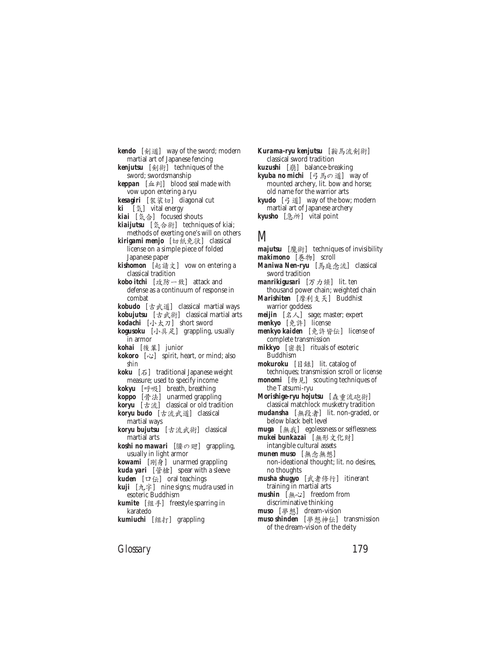**kendo** [剣道] way of the sword; modern martial art of Japanese fencing

**kenjutsu** [剣術] techniques of the sword; swordsmanship

*keppan* [血判] blood seal made with vow upon entering a ryu

- *kesagiri* [袈裟切] diagonal cut
- **ki** [気] vital energy
- *kiai* [気合] focused shouts
- **kiaijutsu** [気合術] techniques of kiai; methods of exerting one's will on others
- **kirigami menjo** [切紙免状] classical license on a simple piece of folded Japanese paper
- kishomon [起請文] vow on entering a classical tradition
- *kobo itchi* [攻防一致] attack and defense as a continuum of response in combat
- *kobudo* [古武道] classical martial ways
- **kobujutsu** [古武術] classical martial arts
- *kodachi* [小太刀] short sword
- kogusoku [小具足] grappling, usually in armor
- *kohai* [後輩] junior
- *kokoro* [ $\infty$ ] spirit, heart, or mind; also *shin*
- **koku** [石] traditional Japanese weight measure; used to specify income
- **kokyu** [呼吸] breath, breathing
- **koppo** [骨法] unarmed grappling
- **koryu** [古流] classical or old tradition **koryu budo** [古流武道] classical
- martial ways
- **koryu bujutsu** [古流武術] classical martial arts
- *koshi no mawari* [腰の廻] grappling, usually in light armor
- *kowami* [剛身] unarmed grappling
- **kuda yari** [管槍] spear with a sleeve
- *kuden* [口伝] oral teachings
- **kuji** [九字] nine signs; mudra used in esoteric Buddhism
- **kumite** [組手] freestyle sparring in karatedo
- **kumiuchi** [組打] grappling

Kurama-ryu kenjutsu [鞍馬流剣術] classical sword tradition **kuzushi** [崩] balance-breaking **kyuba no michi** [弓馬の道] way of mounted archery, lit. bow and horse; old name for the warrior arts *kyudo* [弓道] way of the bow; modern martial art of Japanese archery kyusho [急所] vital point

## M

- majutsu [魔術] techniques of invisibility makimono [巻物] scroll Maniwa Nen-ryu [馬庭念流] classical sword tradition *manrikigusari* [万力鎖] lit. ten thousand power chain; weighted chain *Marishiten* [摩利支天] Buddhist warrior goddess *meijin*  $[\&\&\&\]$  sage; master; expert *menkyo* [免許] license *menkyo kaiden* [免許皆伝] license of complete transmission *mikkyo* [密教] rituals of esoteric Buddhism *mokuroku* [目録] lit. catalog of techniques; transmission scroll or license *monomi* [物見] scouting techniques of the Tatsumi-ryu *Morishige-ryu hojutsu* [森重流砲術] classical matchlock musketry tradition *mudansha* [無段者] lit. non-graded, or below black belt level *muga* [無我] egolessness or selflessness *mukei bunkazai* [無形文化財] intangible cultural assets *munen muso* [無念無想] non-ideational thought; lit. no desires, no thoughts musha shugyo [武者修行] itinerant training in martial arts *mushin* [無心] freedom from
- discriminative thinking
- *muso* [夢想] dream-vision *muso shinden* [夢想神伝] transmission
- of the dream-vision of the deity

*Glossary* 179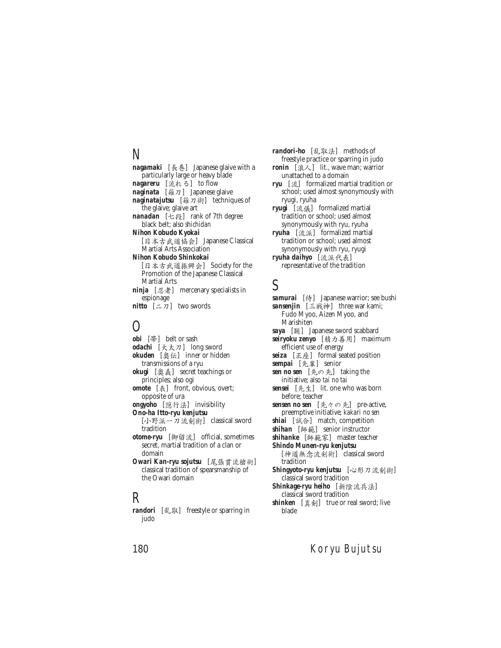# N

*nagamaki* [長巻] Japanese glaive with a particularly large or heavy blade nagareru [流れる] to flow *naginata* [薙刀] Japanese glaive naginatajutsu [薙刀術] techniques of the glaive; glaive art nanadan [七段] rank of 7th degree black belt; also *shichidan Nihon Kobudo Kyokai* [日本古武道協会] Japanese Classical Martial Arts Association *Nihon Kobudo Shinkokai* [日本古武道振興会] Society for the Promotion of the Japanese Classical Martial Arts *ninja* [忍者] mercenary specialists in espionage

*nitto*  $[-7]$  two swords

#### $\left( \ \right)$

*obi* [帯] belt or sash *odachi* [大太刀] long sword *okuden* [奧伝] inner or hidden transmissions of a ryu *okugi* [奧義] secret teachings or principles; also ogi *omote* [表] front, obvious, overt; opposite of ura **ongyoho** [隱行法] invisibility *Ono-ha Itto-ryu kenjutsu* [小野派一刀流剣術] classical sword tradition otome-ryu [御留流] official, sometimes secret, martial tradition of a clan or domain *Owari Kan-ryu sojutsu* [尾張貫流槍術] classical tradition of spearsmanship of the Owari domain

#### R

*randori* [乱取] freestyle or sparring in judo

*randori-ho* [乱取法] methods of freestyle practice or sparring in judo *ronin* [ $\Re \angle$ ] lit., wave man; warrior unattached to a domain *ryu* [流] formalized martial tradition or school; used almost synonymously with ryugi, ryuha *ryugi* [流儀] formalized martial tradition or school; used almost synonymously with ryu, ryuha *ryuha* [流派] formalized martial tradition or school; used almost synonymously with ryu, ryugi *ryuha daihyo* [流派代表] representative of the tradition

### S

*samurai* [侍] Japanese warrior; see bushi **sansenjin** [三戦神] three war kami; Fudo Myoo, Aizen Myoo, and Marishiten *saya* [鞘] Japanese sword scabbard seiryoku zenyo [精力善用] maximum efficient use of energy *seiza* [正座] formal seated position *sempai* [先輩] senior *sen no sen* [先の先] taking the initiative; also *tai no tai sensei* [先生] lit. one who was born before; teacher *sensen no sen* [先々の先] pre-active, preemptive initiative; *kakari no sen shiai* [試合] match, competition **shihan** [師範] senior instructor *shihanke* [師範家] master teacher *Shindo Munen-ryu kenjutsu* [神道無念流剣術] classical sword tradition **Shingyoto-ryu kenjutsu** [心形刀流剣術] classical sword tradition **Shinkage-ryu heiho** [新陰流兵法] classical sword tradition *shinken* [真剣] true or real sword; live blade

#### 180 Koryu Bujutsu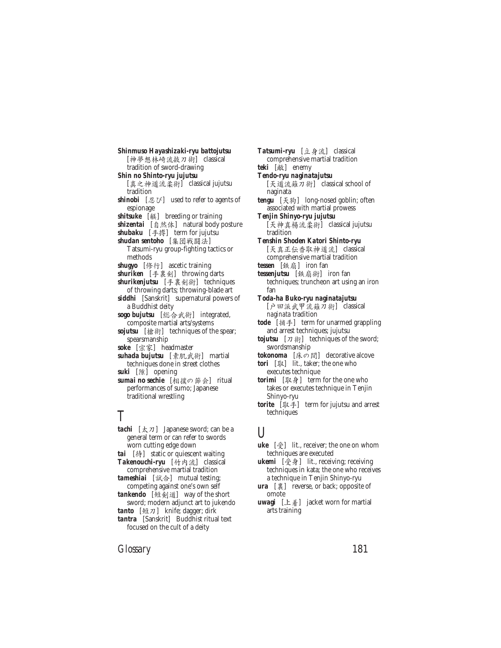*Shinmuso Hayashizaki-ryu battojutsu*  $[\n \frac{1}{N}\n \frac{1}{N}\n \frac{1}{N}\n \frac{1}{N}\n \frac{1}{N}\n \frac{1}{N}\n \frac{1}{N}\n \frac{1}{N}\n \frac{1}{N}\n \frac{1}{N}\n$ tradition of sword-drawing *Shin no Shinto-ryu jujutsu* [真之神道流柔術] classical jujutsu tradition *shinobi* [忍び] used to refer to agents of espionage *shitsuke* [躾] breeding or training **shizentai** [自然体] natural body posture *shubaku* [手搏] term for jujutsu *shudan sentoho* [集団戦闘法] Tatsumi-ryu group-fighting tactics or methods *shugyo* [ß²] ascetic training *shuriken* [手裏剣] throwing darts *shurikenjutsu* [手裏剣術] techniques of throwing darts; throwing-blade art *siddhi* [Sanskrit] supernatural powers of a Buddhist deity *sogo bujutsu* [総合武術] integrated, composite martial arts/systems *sojutsu* [槍術] techniques of the spear; spearsmanship *soke* [宗家] headmaster *suhada bujutsu* [素肌武術] martial techniques done in street clothes *suki* [隙] opening **sumai no sechie** [相撲の節会] ritual performances of sumo; Japanese traditional wrestling

#### T

- **tachi** [太刀] Japanese sword; can be a general term or can refer to swords worn cutting edge down *tai* [ä] static or quiescent waiting **Takenouchi-ryu** [竹内流] classical comprehensive martial tradition *tameshiai* [試合] mutual testing;
- competing against one's own self *tankendo* [短剣道] way of the short
- sword; modern adjunct art to jukendo tanto [短刀] knife; dagger; dirk

*tantra* [Sanskrit] Buddhist ritual text focused on the cult of a deity

**Tatsumi-ryu** [立身流] classical comprehensive martial tradition *teki* [敵] enemy *Tendo-ryu naginatajutsu* [天道流薙刀術] classical school of naginata tengu [天狗] long-nosed goblin; often associated with martial prowess *Tenjin Shinyo-ryu jujutsu* [天神真楊流柔術] classical jujutsu tradition *Tenshin Shoden Katori Shinto-ryu* [天真正伝香取神道流] classical comprehensive martial tradition tessen [鉄扇] iron fan tessenjutsu [鉄扇術] iron fan techniques; truncheon art using an iron fan *Toda-ha Buko-ryu naginatajutsu* [户田派武甲流薙刀術] classical *naginata* tradition *tode* [ 捕手] term for unarmed grappling and arrest techniques; jujutsu *tojutsu*  $[\pi \hat{\pi}]$  techniques of the sword; swordsmanship tokonoma [床の間] decorative alcove *tori* [取] lit., taker; the one who executes technique *torimi* [取身] term for the one who takes or executes technique in Tenjin Shinyo-ryu *torite* [取手] term for jujutsu and arrest techniques

# U

- **uke** [受] lit., receiver; the one on whom techniques are executed
- **ukemi** [受身] lit., receiving; receiving techniques in kata; the one who receives a technique in Tenjin Shinyo-ryu
- **ura** [裏] reverse, or back; opposite of omote
- uwagi [上着] jacket worn for martial arts training

*Glossary* 181